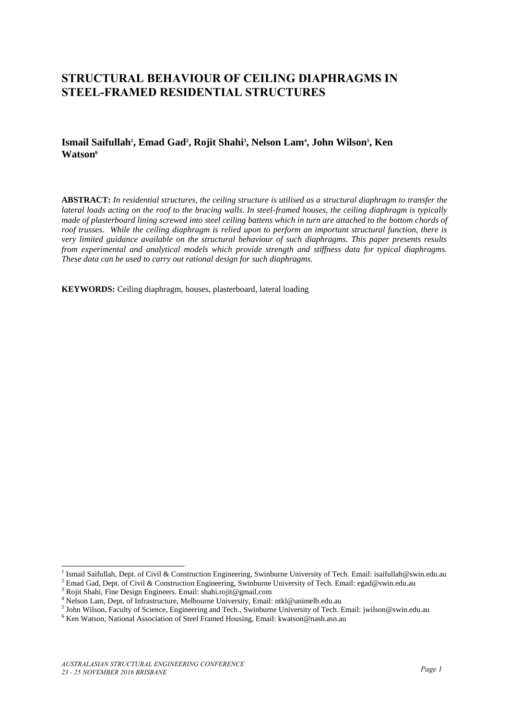# **STRUCTURAL BEHAVIOUR OF CEILING DIAPHRAGMS IN STEEL-FRAMED RESIDENTIAL STRUCTURES**

## **Ismail Saifullah<sup>1</sup> , Emad Gad<sup>2</sup> , Rojit Shahi<sup>3</sup> , Nelson Lam<sup>4</sup> , John Wilson<sup>5</sup> , Ken Watson<sup>6</sup>**

**ABSTRACT:** *In residential structures, the ceiling structure is utilised as a structural diaphragm to transfer the lateral loads acting on the roof to the bracing walls. In steel-framed houses, the ceiling diaphragm is typically made of plasterboard lining screwed into steel ceiling battens which in turn are attached to the bottom chords of roof trusses. While the ceiling diaphragm is relied upon to perform an important structural function, there is very limited guidance available on the structural behaviour of such diaphragms. This paper presents results from experimental and analytical models which provide strength and stiffness data for typical diaphragms. These data can be used to carry out rational design for such diaphragms.* 

**KEYWORDS:** Ceiling diaphragm, houses, plasterboard, lateral loading

<sup>1</sup> Ismail Saifullah, Dept. of Civil & Construction Engineering, Swinburne University of Tech. Email: isaifullah@swin.edu.au

<sup>2</sup> Emad Gad, Dept. of Civil & Construction Engineering, Swinburne University of Tech. Email: egad@swin.edu.au

<sup>3</sup> Rojit Shahi, Fine Design Engineers. Email: [shahi.rojit@gmail.com](mailto:shahi.rojit@gmail.com)

<sup>&</sup>lt;sup>4</sup> Nelson Lam, Dept. of Infrastructure, Melbourne University, Email: ntkl@unimelb.edu.au

<sup>5</sup> John Wilson, Faculty of Science, Engineering and Tech., Swinburne University of Tech. Email[: jwilson@swin.edu.au](mailto:jwilson@swin.edu.au)

<sup>&</sup>lt;sup>6</sup> Ken Watson, National Association of Steel Framed Housing, Email: kwatson@nash.asn.au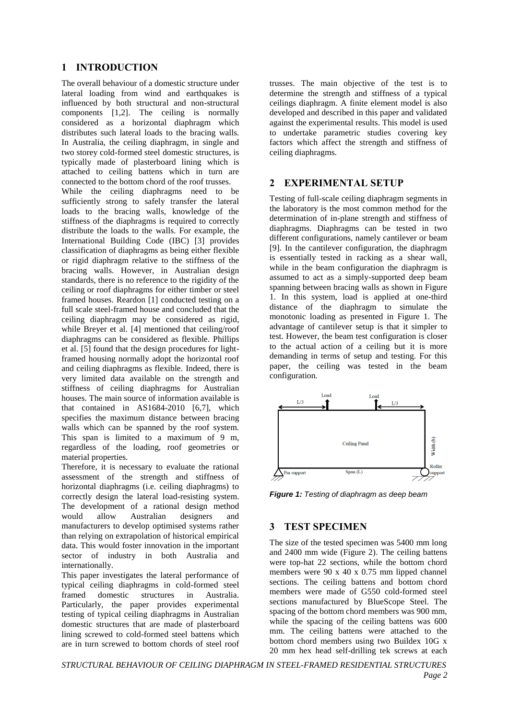## **1 INTRODUCTION**

The overall behaviour of a domestic structure under lateral loading from wind and earthquakes is influenced by both structural and non-structural components [1,2]. The ceiling is normally considered as a horizontal diaphragm which distributes such lateral loads to the bracing walls. In Australia, the ceiling diaphragm, in single and two storey cold-formed steel domestic structures, is typically made of plasterboard lining which is attached to ceiling battens which in turn are connected to the bottom chord of the roof trusses.

While the ceiling diaphragms need to be sufficiently strong to safely transfer the lateral loads to the bracing walls, knowledge of the stiffness of the diaphragms is required to correctly distribute the loads to the walls. For example, the International Building Code (IBC) [3] provides classification of diaphragms as being either flexible or rigid diaphragm relative to the stiffness of the bracing walls. However, in Australian design standards, there is no reference to the rigidity of the ceiling or roof diaphragms for either timber or steel framed houses. Reardon [1] conducted testing on a full scale steel-framed house and concluded that the ceiling diaphragm may be considered as rigid, while Breyer et al. [4] mentioned that ceiling/roof diaphragms can be considered as flexible. Phillips et al. [5] found that the design procedures for lightframed housing normally adopt the horizontal roof and ceiling diaphragms as flexible. Indeed, there is very limited data available on the strength and stiffness of ceiling diaphragms for Australian houses. The main source of information available is that contained in AS1684-2010 [6,7], which specifies the maximum distance between bracing walls which can be spanned by the roof system. This span is limited to a maximum of 9 m, regardless of the loading, roof geometries or material properties.

Therefore, it is necessary to evaluate the rational assessment of the strength and stiffness of horizontal diaphragms (i.e. ceiling diaphragms) to correctly design the lateral load-resisting system. The development of a rational design method would allow Australian designers and manufacturers to develop optimised systems rather than relying on extrapolation of historical empirical data. This would foster innovation in the important sector of industry in both Australia and internationally.

This paper investigates the lateral performance of typical ceiling diaphragms in cold-formed steel framed domestic structures in Australia. Particularly, the paper provides experimental testing of typical ceiling diaphragms in Australian domestic structures that are made of plasterboard lining screwed to cold-formed steel battens which are in turn screwed to bottom chords of steel roof

trusses. The main objective of the test is to determine the strength and stiffness of a typical ceilings diaphragm. A finite element model is also developed and described in this paper and validated against the experimental results. This model is used to undertake parametric studies covering key factors which affect the strength and stiffness of ceiling diaphragms.

### **2 EXPERIMENTAL SETUP**

Testing of full-scale ceiling diaphragm segments in the laboratory is the most common method for the determination of in-plane strength and stiffness of diaphragms. Diaphragms can be tested in two different configurations, namely cantilever or beam [9]. In the cantilever configuration, the diaphragm is essentially tested in racking as a shear wall, while in the beam configuration the diaphragm is assumed to act as a simply-supported deep beam spanning between bracing walls as shown in Figure 1. In this system, load is applied at one-third distance of the diaphragm to simulate the monotonic loading as presented in Figure 1. The advantage of cantilever setup is that it simpler to test. However, the beam test configuration is closer to the actual action of a ceiling but it is more demanding in terms of setup and testing. For this paper, the ceiling was tested in the beam configuration.



*Figure 1: Testing of diaphragm as deep beam* 

## **3 TEST SPECIMEN**

The size of the tested specimen was 5400 mm long and 2400 mm wide (Figure 2). The ceiling battens were top-hat 22 sections, while the bottom chord members were 90 x 40 x 0.75 mm lipped channel sections. The ceiling battens and bottom chord members were made of G550 cold-formed steel sections manufactured by BlueScope Steel. The spacing of the bottom chord members was 900 mm, while the spacing of the ceiling battens was 600 mm. The ceiling battens were attached to the bottom chord members using two Buildex 10G x 20 mm hex head self-drilling tek screws at each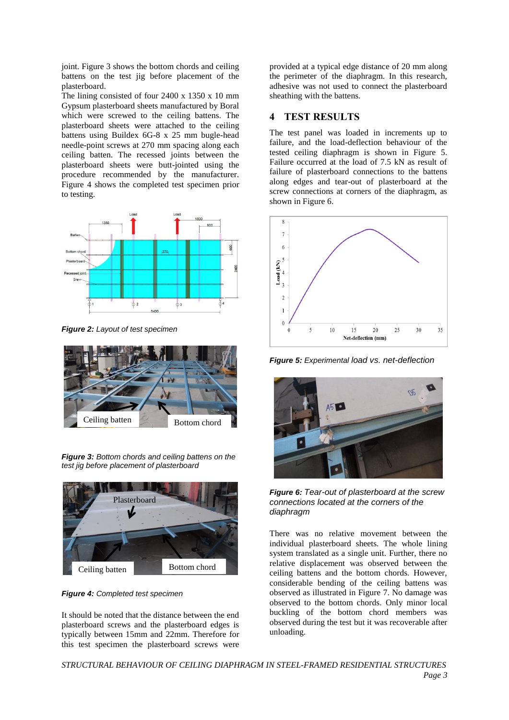joint. Figure 3 shows the bottom chords and ceiling battens on the test jig before placement of the plasterboard.

The lining consisted of four 2400 x 1350 x 10 mm Gypsum plasterboard sheets manufactured by Boral which were screwed to the ceiling battens. The plasterboard sheets were attached to the ceiling battens using Buildex 6G-8 x 25 mm bugle-head needle-point screws at 270 mm spacing along each ceiling batten. The recessed joints between the plasterboard sheets were butt-jointed using the procedure recommended by the manufacturer. Figure 4 shows the completed test specimen prior to testing.



*Figure 2: Layout of test specimen* 



*Figure 3: Bottom chords and ceiling battens on the test jig before placement of plasterboard* 



*Figure 4: Completed test specimen*

It should be noted that the distance between the end plasterboard screws and the plasterboard edges is typically between 15mm and 22mm. Therefore for this test specimen the plasterboard screws were

provided at a typical edge distance of 20 mm along the perimeter of the diaphragm. In this research, adhesive was not used to connect the plasterboard sheathing with the battens.

## **4 TEST RESULTS**

The test panel was loaded in increments up to failure, and the load-deflection behaviour of the tested ceiling diaphragm is shown in Figure 5. Failure occurred at the load of 7.5 kN as result of failure of plasterboard connections to the battens along edges and tear-out of plasterboard at the screw connections at corners of the diaphragm, as shown in Figure 6.



*Figure 5: Experimental load vs. net-deflection*



*Figure 6: Tear-out of plasterboard at the screw connections located at the corners of the diaphragm* 

There was no relative movement between the individual plasterboard sheets. The whole lining system translated as a single unit. Further, there no relative displacement was observed between the ceiling battens and the bottom chords. However, considerable bending of the ceiling battens was observed as illustrated in Figure 7. No damage was observed to the bottom chords. Only minor local buckling of the bottom chord members was observed during the test but it was recoverable after unloading.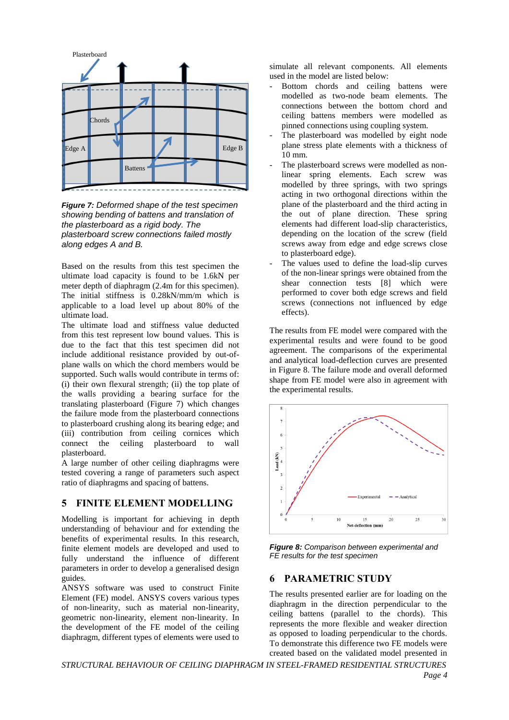

*Figure 7: Deformed shape of the test specimen showing bending of battens and translation of the plasterboard as a rigid body. The plasterboard screw connections failed mostly along edges A and B.*

Based on the results from this test specimen the ultimate load capacity is found to be 1.6kN per meter depth of diaphragm (2.4m for this specimen). The initial stiffness is 0.28kN/mm/m which is applicable to a load level up about 80% of the ultimate load.

The ultimate load and stiffness value deducted from this test represent low bound values. This is due to the fact that this test specimen did not include additional resistance provided by out-ofplane walls on which the chord members would be supported. Such walls would contribute in terms of: (i) their own flexural strength; (ii) the top plate of the walls providing a bearing surface for the translating plasterboard (Figure 7) which changes the failure mode from the plasterboard connections to plasterboard crushing along its bearing edge; and (iii) contribution from ceiling cornices which connect the ceiling plasterboard to wall plasterboard.

A large number of other ceiling diaphragms were tested covering a range of parameters such aspect ratio of diaphragms and spacing of battens.

#### **5 FINITE ELEMENT MODELLING**

Modelling is important for achieving in depth understanding of behaviour and for extending the benefits of experimental results. In this research, finite element models are developed and used to fully understand the influence of different parameters in order to develop a generalised design guides.

ANSYS software was used to construct Finite Element (FE) model. ANSYS covers various types of non-linearity, such as material non-linearity, geometric non-linearity, element non-linearity. In the development of the FE model of the ceiling diaphragm, different types of elements were used to

simulate all relevant components. All elements used in the model are listed below:

- Bottom chords and ceiling battens were modelled as two-node beam elements. The connections between the bottom chord and ceiling battens members were modelled as pinned connections using coupling system.
- The plasterboard was modelled by eight node plane stress plate elements with a thickness of  $10 \text{ mm}$
- The plasterboard screws were modelled as nonlinear spring elements. Each screw was modelled by three springs, with two springs acting in two orthogonal directions within the plane of the plasterboard and the third acting in the out of plane direction. These spring elements had different load-slip characteristics, depending on the location of the screw (field screws away from edge and edge screws close to plasterboard edge).
- The values used to define the load-slip curves of the non-linear springs were obtained from the shear connection tests [8] which were performed to cover both edge screws and field screws (connections not influenced by edge effects).

The results from FE model were compared with the experimental results and were found to be good agreement. The comparisons of the experimental and analytical load-deflection curves are presented in Figure 8. The failure mode and overall deformed shape from FE model were also in agreement with the experimental results.



*Figure 8: Comparison between experimental and FE results for the test specimen* 

#### **6 PARAMETRIC STUDY**

The results presented earlier are for loading on the diaphragm in the direction perpendicular to the ceiling battens (parallel to the chords). This represents the more flexible and weaker direction as opposed to loading perpendicular to the chords. To demonstrate this difference two FE models were created based on the validated model presented in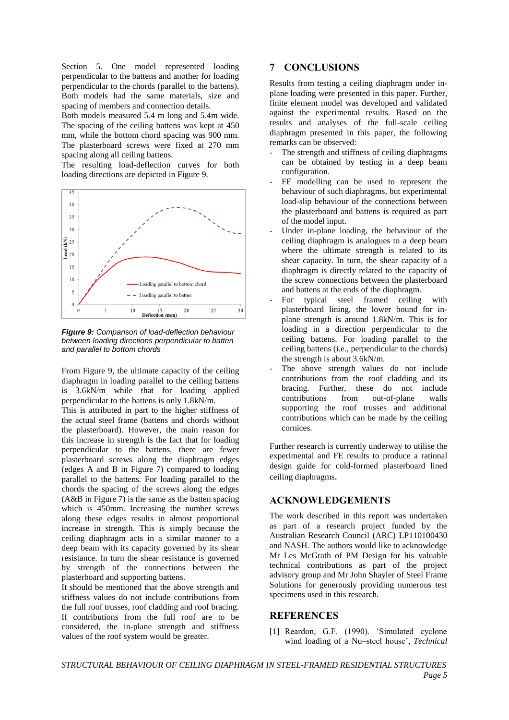Section 5. One model represented loading perpendicular to the battens and another for loading perpendicular to the chords (parallel to the battens). Both models had the same materials, size and spacing of members and connection details.

Both models measured 5.4 m long and 5.4m wide. The spacing of the ceiling battens was kept at 450 mm, while the bottom chord spacing was 900 mm. The plasterboard screws were fixed at 270 mm spacing along all ceiling battens.

The resulting load-deflection curves for both loading directions are depicted in Figure 9.



*Figure 9: Comparison of load-deflection behaviour between loading directions perpendicular to batten and parallel to bottom chords*

From Figure 9, the ultimate capacity of the ceiling diaphragm in loading parallel to the ceiling battens is 3.6kN/m while that for loading applied perpendicular to the battens is only 1.8kN/m.

This is attributed in part to the higher stiffness of the actual steel frame (battens and chords without the plasterboard). However, the main reason for this increase in strength is the fact that for loading perpendicular to the battens, there are fewer plasterboard screws along the diaphragm edges (edges A and B in Figure 7) compared to loading parallel to the battens. For loading parallel to the chords the spacing of the screws along the edges (A&B in Figure 7) is the same as the batten spacing which is 450mm. Increasing the number screws along these edges results in almost proportional increase in strength. This is simply because the ceiling diaphragm acts in a similar manner to a deep beam with its capacity governed by its shear resistance. In turn the shear resistance is governed by strength of the connections between the plasterboard and supporting battens.

It should be mentioned that the above strength and stiffness values do not include contributions from the full roof trusses, roof cladding and roof bracing. If contributions from the full roof are to be considered, the in-plane strength and stiffness values of the roof system would be greater.

## **7 CONCLUSIONS**

Results from testing a ceiling diaphragm under inplane loading were presented in this paper. Further, finite element model was developed and validated against the experimental results. Based on the results and analyses of the full-scale ceiling diaphragm presented in this paper, the following remarks can be observed:

- The strength and stiffness of ceiling diaphragms can be obtained by testing in a deep beam configuration.
- FE modelling can be used to represent the behaviour of such diaphragms, but experimental load-slip behaviour of the connections between the plasterboard and battens is required as part of the model input.
- Under in-plane loading, the behaviour of the ceiling diaphragm is analogues to a deep beam where the ultimate strength is related to its shear capacity. In turn, the shear capacity of a diaphragm is directly related to the capacity of the screw connections between the plasterboard and battens at the ends of the diaphragm.
- For typical steel framed ceiling with plasterboard lining, the lower bound for inplane strength is around 1.8kN/m. This is for loading in a direction perpendicular to the ceiling battens. For loading parallel to the ceiling battens (i.e., perpendicular to the chords) the strength is about 3.6kN/m.
- The above strength values do not include contributions from the roof cladding and its bracing. Further, these do not include contributions from out-of-plane walls supporting the roof trusses and additional contributions which can be made by the ceiling cornices.

Further research is currently underway to utilise the experimental and FE results to produce a rational design guide for cold-formed plasterboard lined ceiling diaphragms.

## **ACKNOWLEDGEMENTS**

The work described in this report was undertaken as part of a research project funded by the Australian Research Council (ARC) LP110100430 and NASH. The authors would like to acknowledge Mr Les McGrath of PM Design for his valuable technical contributions as part of the project advisory group and Mr John Shayler of Steel Frame Solutions for generously providing numerous test specimens used in this research.

#### **REFERENCES**

[1] Reardon, G.F. (1990). "Simulated cyclone wind loading of a Nu–steel house", *Technical*